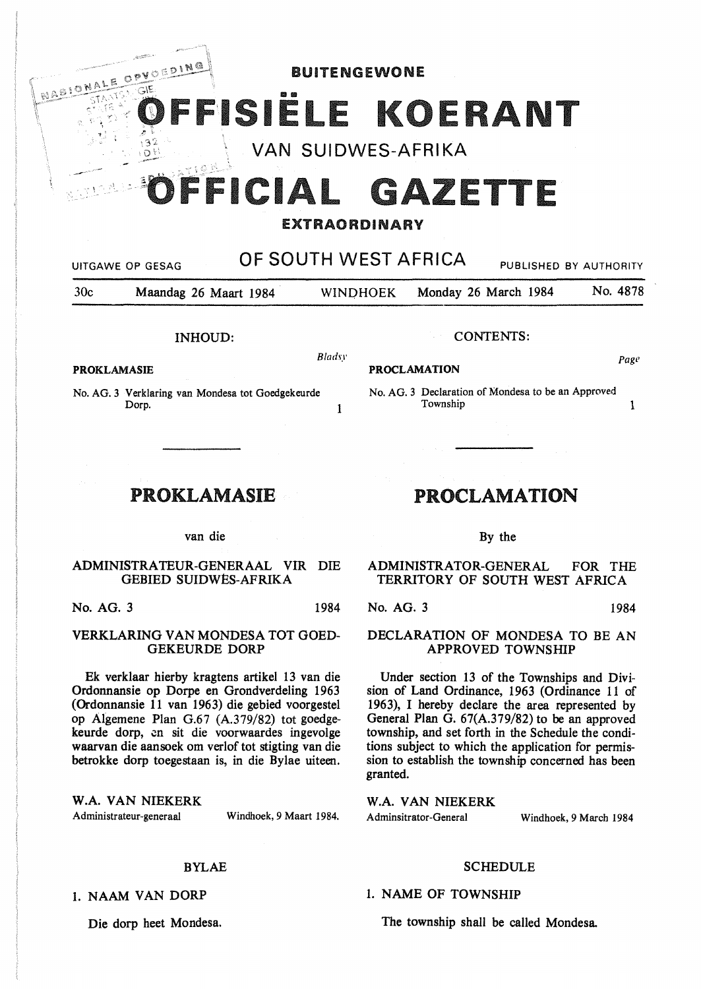BUITENGEWONE

# 191E

VAN SUIDWES-AFRIKA

# '----·- FICIAL GAZETTE

### EXTRAORDINARY

UITGAWE OP GESAG **OF SOUTH WEST AFRICA** PUBLISHED BY AUTHORITY 30c Maandag 26 Maart 1984 WINOHOEK Monday 26 March 1984 No. 4878 INHOUD: CONTENTS:  $B$ ladsy  $Page$ **PROKLAMASIE PROCLAMATION**  No. AG. 3 Verklaring van Mondesa tot Goedgekeurde Dorp. 2008. The contract of the contract of the contract of the contract of the contract of the contract of the contract of the contract of the contract of the contract of the contract of the contract of the contract of th PROKLAMASIE van die **ADMINISTRA** TEUR-GENERAAL VIR DIE GEBIED SUIDWES-AFRIKA No. AG. 3 Declaration of Mondesa to be an Approved Township 1 PROCLAMATION By the ADMINISTRATOR-GENERAL FOR THE

No. AG. 3 1984

#### VERKLARING VAN MONDESA TOT GOED-GEKEURDE DORP

Ek verklaar hierby kragtens artikel 13 van die Ordonnansie op Dorpe en Grondverdeling 1963 (Ordonnansie 11 van 1963) die gebied voorgestel op Algemene Plan G.67 (A.379/82) tot goedgekeurde dorp, en sit die voorwaardes ingevolge waarvan die aansoek om verlof tot stigting van die betrokke dorp toegestaan is, in die Bylae uiteen.

**W.A. VAN** NIEKERK Administrateur-generaal

OPVOERING

**MABIQNAL** 

 $\mathbb{S}^2$ 

Windhoek, 9 Maart 1984.

#### BYLAE

1. NAAM VAN DORP

Die dorp beet Mondesa.

TERRITORY OF SOUTH WEST AFRICA

No. AG. 3 1984

## DECLARATION OF MONDESA TO BE AN APPROVED TOWNSHIP

Under section 13 of the Townships and Division of Land Ordinance, 1963 (Ordinance 11 of 1963), I hereby declare the area represented by General Plan G. 67(A.379/82) to be an approved township, and set forth in the Schedule the conditions subject to which the application for permission to establish the township concerned has been granted.

**W.A. VAN NIEKERK**  Adminsitrator-General Windhoek, 9 March 1984

#### SCHEDULE

1. NAME OF TOWNSHIP

The township shall be called Mondesa.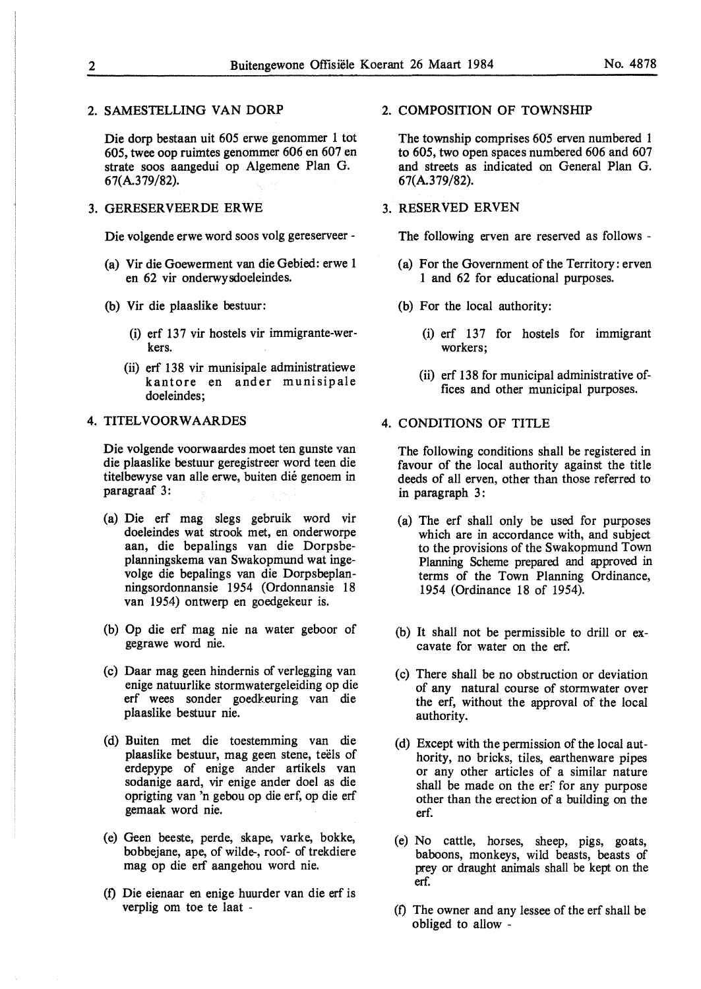#### 2. SAMESTELLING VAN DORP

Die dorp bestaan uit 605 erwe genommer 1 tot 605, twee oop ruimtes genommer 606 en 607 en strate soos aangedui op Algemene Plan G. 67(A.379/82).

#### 3. GERESERVEERDE ERWE

Die volgende erwe word soos volg gereserveer -

- (a) Vir die Goewerment van die Gebied: erwe 1 en 62 vir onderwysdoeleindes.
- (b) Vir die plaaslike bestuur:
	- (i) erf 137 vir hostels vir immigrante-werkers.
	- (ii) erf 138 vir munisipale administratiewe kantore en ander munisipale doeleindes;

#### 4. TITELVOORW AARDES

Die volgende voorwaardes moet ten gunste van die plaaslike bestuur geregistreer word teen die titelbewyse van alle erwe, buiten die genoem in paragraaf 3:

- (a) Die erf mag slegs gebruik word vir doeleindes wat strook met, en onderworpe aan, die bepalings van die Dorpsbeplanningskema van Swakopmund wat ingevolge die bepalings van die Dorpsbeplanningsordonnansie 1954 (Ordonnansie 18 van 1954) ontwerp en goedgekeur is.
- (b) Op die erf mag nie na water geboor of gegrawe word nie.
- (c) Daar mag geen hindernis of verlegging van enige natuurlike stormwatergeleiding op die erf wees sonder goedkeuring van die plaaslike bestuur nie.
- (d) Buiten met die toestemming van die plaaslike bestuur, mag geen stene, teels of erdepype of enige ander artikels van sodanige aard, vir enige ander doel as die oprigting van 'n gebou op die erf, op die erf gemaak word nie.
- ( e) Geen beeste, perde, skape, varke, bokke, bobbejane, ape, of wilde-, roof- of trekdiere mag op die erf aangehou word nie.
- (f) Die eienaar en enige huurder van die erf is verplig om toe te laat -

#### 2. COMPOSITION OF TOWNSHIP

The township comprises 605 erven numbered 1 to 605, two open spaces numbered 606 and 607 and streets as indicated on General Plan G. 67(A.379/82).

#### 3. RESERVED ERVEN

The following erven are reserved as follows -

- (a) For the Government of the Territory: erven 1 and 62 for educational purposes.
- (b) For the local authority:
	- $(i)$  erf 137 for hostels for immigrant workers;
	- (ii) erf 138 for municipal administrative offices and other municipal purposes.
- 4. **CONDITIONS** OF TITLE

The following conditions shall be registered in favour of the local authority against the title deeds of all erven, other than those referred to in paragraph 3:

- (a) The erf shall only be used for purposes which are in accordance with, and subject to the provisions of the Swakopmund Town Planning Scheme prepared and approved in terms of the Town Planning Ordinance, 1954 (Ordinance 18 of 1954).
- (b) It shall not be permissible to drill or excavate for water on the erf.
- (c) There shall be no obstruction or deviation of any natural course of stormwater over the erf, without the approval of the local authority.
- (d) Except with the permission of the local authority, no bricks, tiles, earthenware pipes or any other articles of a similar nature shall be made on the  $erf$  for any purpose other than the erection of a building on the erf.
- (e) No cattle, horses, sheep, pigs, goats, baboons, monkeys, wild beasts, beasts of prey or draught animals shall be kept on the erf.
- (f) The owner and any lessee of the erf shall be obliged to allow -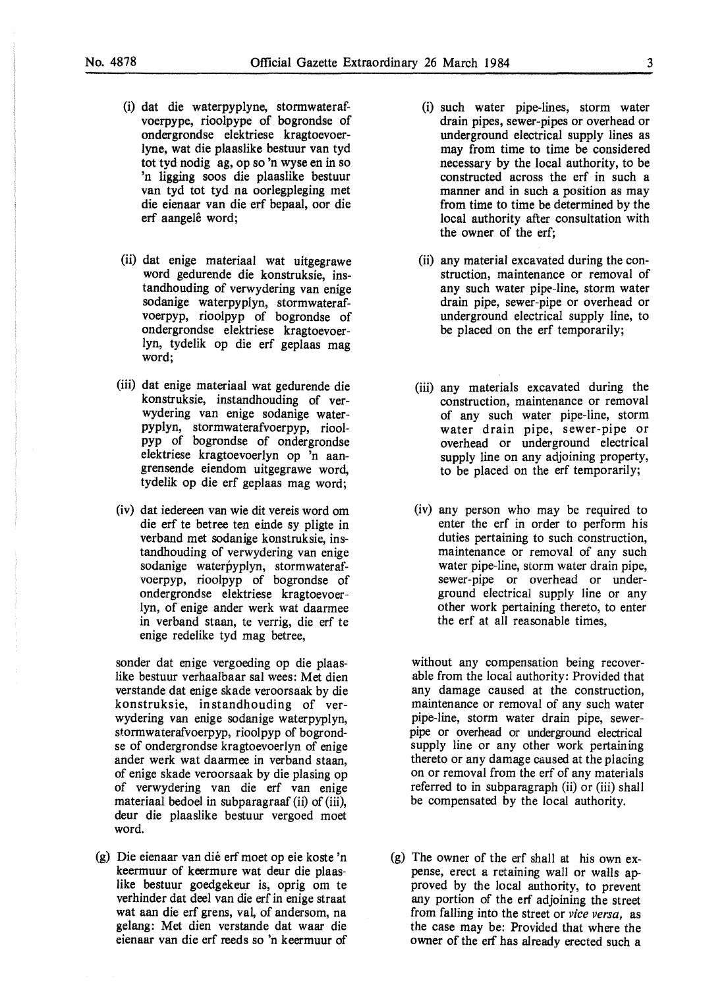(i) dat die waterpyplyne, stonnwaterafvoerpype, rioolpype of bogrondse of ondergrondse elektriese kragtoevoerlyne, wat die plaaslike bestuur van tyd tot tyd nodig ag, op so 'n wyse en in so 'n ligging soos die plaaslike bestuur van tyd tot tyd na oorlegpleging met die eienaar van die erf bepaal, oor die

erf aangelê word;

- (ii) dat enige materiaal wat uitgegrawe word gedurende die konstruksie, instandhouding of verwydering van enige sodanige waterpyplyn, stormwaterafvoerpyp, rioolpyp of bogrondse of ondergrondse elektriese kragtoevoerlyn, tydelik op die erf geplaas mag word;
- (iii) dat enige materiaal wat gedurende die konstruksie, instandhouding of verwydering van enige sodanige waterpyplyn, stormwaterafvoerpyp, rioolpyp of bogrondse of ondergrondse elektriese kragtoevoerlyn op 'n aangrensende eiendom uitgegrawe word, tydelik op die erf geplaas mag word;
- (iv) dat iedereen van wie dit vereis word om die erf te betree ten einde sy pligte in verband met sodanige konstruksie, instandhouding of verwydering van enige sodanige waterpyplyn, stormwaterafvoerpyp, rioolpyp of bogrondse of ondergrondse elektriese kragtoevoerlyn, of enige ander werk wat daannee in verband staan, te verrig, die erf te enige redelike tyd mag betree,

sonder dat enige vergoeding op die plaaslike bestuur verhaalbaar sat wees: Met dien verstande dat enige skade veroorsaak by die konstruksie, instandhouding of verwydering van enige sodanige waterpyplyn, stormwaterafvoerpyp, rioolpyp of bogrondse of ondergrondse kragtoevoerlyn of enige ander werk wat daarmee in verband staan, of enige skade veroorsaak by die plasing op of verwydering van die erf van enige materiaal bedoel in subparagraaf (ii) of (iii), deur die plaaslike bestuur vergoed moet word.

(g) Die eienaar van die erf moet op eie koste 'n keermuur of keermure wat deur die plaaslike bestuur goedgekeur is, oprig om te verhinder dat deel van die erf in enige straat wat aan die erf grens, val, of andersom, na gelang: Met dien verstande dat waar die eienaar van die erf reeds so 'n keermuur of

- (i) such water pipe-lines, storm water drain pipes, sewer-pipes or overhead or underground electrical supply lines as may from time to time be considered necessary by the local authority, to be constructed across the erf in such a manner and in such a position as may from time to time be determined by the local authority after consultation with the owner of the erf;
- (ii) any material excavated during the construction, maintenance or removal of any such water pipe-line, storm water drain pipe, sewer-pipe or overhead or underground electrical supply line, to be placed on the erf temporarily;
- (iii) any materials excavated during the construction, maintenance or removal of any such water pipe-line, storm water drain pipe, sewer-pipe or overhead or underground electrical supply line on any adjoining property, to be placed on the erf temporarily;
- (iv) any person who may be required to enter the erf in order to perform his duties pertaining to such construction, maintenance or removal of any such water pipe-line, storm water drain pipe, sewer-pipe or overhead or underground electrical supply line or any other work pertaining thereto, to enter the erf at all reasonable times,

without any compensation being recoverable from the local authority: Provided that any damage caused at the construction, maintenance or removal of any such water pipe-line, storm water drain pipe, sewerpipe or overhead or underground electrical supply line or any other work pertaining thereto or any damage caused at the placing on or removal from the erf of any materials referred to in subparagraph (ii) or (iii) shall be compensated by the local authority.

(g) The owner of the erf shall at his own expense, erect a retaining wall or walls approved by the local authority, to prevent any portion of the erf adjoining the street from falling into the street or *vice versa,* as the case may be: Provided that where the owner of the erf has already erected such a